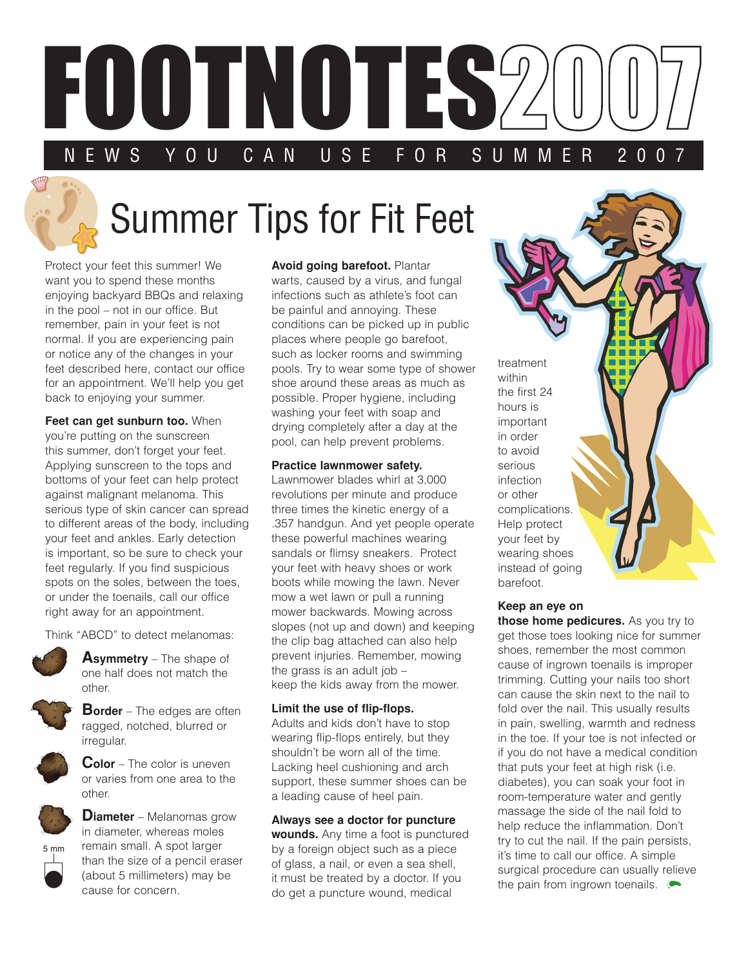

# Summer Tips for Fit Feet

Protect your feet this summer! We want you to spend these months enjoying backyard BBQs and relaxing in the pool – not in our office. But remember, pain in your feet is not normal. If you are experiencing pain or notice any of the changes in your feet described here, contact our office for an appointment. We'll help you get back to enjoying your summer.

**Feet can get sunburn too.** When you're putting on the sunscreen this summer, don't forget your feet. Applying sunscreen to the tops and bottoms of your feet can help protect against malignant melanoma. This serious type of skin cancer can spread to different areas of the body, including your feet and ankles. Early detection is important, so be sure to check your feet regularly. If you find suspicious spots on the soles, between the toes, or under the toenails, call our office right away for an appointment.



Think "ABCD" to detect melanomas:



**Border** – The edges are often ragged, notched, blurred or irregular.



**Color** – The color is uneven or varies from one area to the other.



5 mm

**Diameter** – Melanomas grow in diameter, whereas moles remain small. A spot larger than the size of a pencil eraser (about 5 millimeters) may be cause for concern.

**Avoid going barefoot.** Plantar warts, caused by a virus, and fungal infections such as athlete's foot can be painful and annoying. These conditions can be picked up in public places where people go barefoot, such as locker rooms and swimming pools. Try to wear some type of shower shoe around these areas as much as possible. Proper hygiene, including washing your feet with soap and drying completely after a day at the pool, can help prevent problems.

#### **Practice lawnmower safety.**

Lawnmower blades whirl at 3,000 revolutions per minute and produce three times the kinetic energy of a .357 handgun. And yet people operate these powerful machines wearing sandals or flimsy sneakers. Protect your feet with heavy shoes or work boots while mowing the lawn. Never mow a wet lawn or pull a running mower backwards. Mowing across slopes (not up and down) and keeping the clip bag attached can also help prevent injuries. Remember, mowing the grass is an adult job – keep the kids away from the mower.

#### **Limit the use of flip-flops.**

Adults and kids don't have to stop wearing flip-flops entirely, but they shouldn't be worn all of the time. Lacking heel cushioning and arch support, these summer shoes can be a leading cause of heel pain.

**Always see a doctor for puncture wounds.** Any time a foot is punctured by a foreign object such as a piece of glass, a nail, or even a sea shell, it must be treated by a doctor. If you do get a puncture wound, medical

treatment within the first 24 hours is important in order to avoid serious infection or other complications. Help protect your feet by wearing shoes instead of going barefoot.

### **Keep an eye on**

**those home pedicures.** As you try to get those toes looking nice for summer shoes, remember the most common cause of ingrown toenails is improper trimming. Cutting your nails too short can cause the skin next to the nail to fold over the nail. This usually results in pain, swelling, warmth and redness in the toe. If your toe is not infected or if you do not have a medical condition that puts your feet at high risk (i.e. diabetes), you can soak your foot in room-temperature water and gently massage the side of the nail fold to help reduce the inflammation. Don't try to cut the nail. If the pain persists, it's time to call our office. A simple surgical procedure can usually relieve the pain from ingrown toenails.